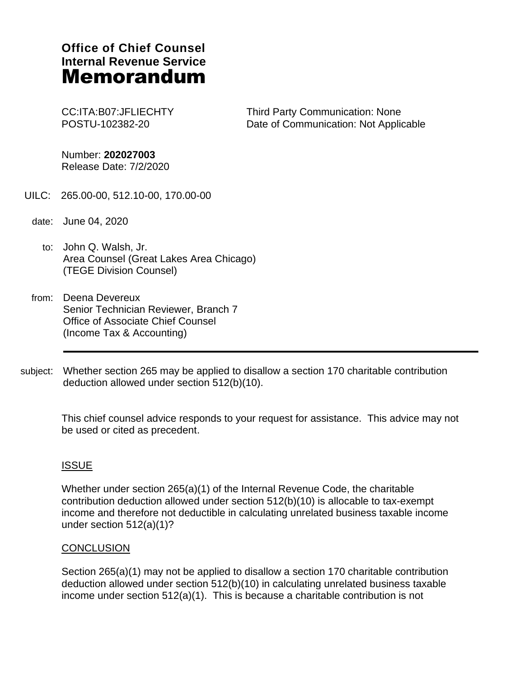# **Office of Chief Counsel Internal Revenue Service** Memorandum

CC:ITA:B07:JFLIECHTY POSTU-102382-20

Third Party Communication: None Date of Communication: Not Applicable

Number: **202027003** Release Date: 7/2/2020

- UILC: 265.00-00, 512.10-00, 170.00-00
	- date: June 04, 2020
		- to: John Q. Walsh, Jr. Area Counsel (Great Lakes Area Chicago) (TEGE Division Counsel)
	- from: Deena Devereux Senior Technician Reviewer, Branch 7 Office of Associate Chief Counsel (Income Tax & Accounting)
- subject: Whether section 265 may be applied to disallow a section 170 charitable contribution deduction allowed under section 512(b)(10).

This chief counsel advice responds to your request for assistance. This advice may not be used or cited as precedent.

## **ISSUE**

Whether under section 265(a)(1) of the Internal Revenue Code, the charitable contribution deduction allowed under section 512(b)(10) is allocable to tax-exempt income and therefore not deductible in calculating unrelated business taxable income under section 512(a)(1)?

### **CONCLUSION**

Section 265(a)(1) may not be applied to disallow a section 170 charitable contribution deduction allowed under section 512(b)(10) in calculating unrelated business taxable income under section 512(a)(1). This is because a charitable contribution is not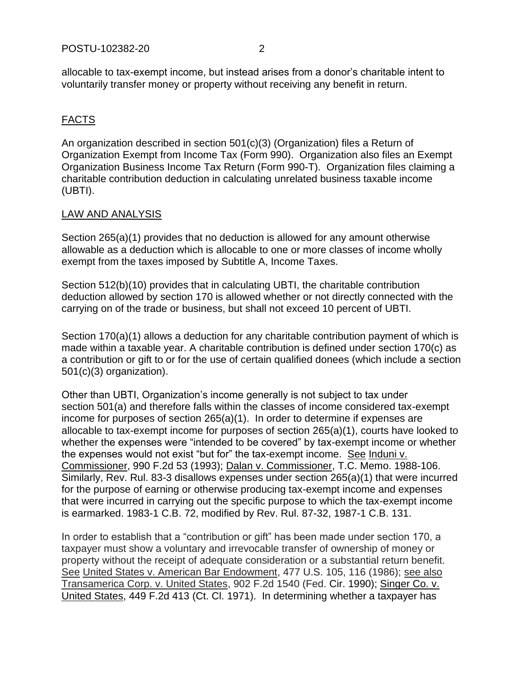allocable to tax-exempt income, but instead arises from a donor's charitable intent to voluntarily transfer money or property without receiving any benefit in return.

## FACTS

An organization described in section 501(c)(3) (Organization) files a Return of Organization Exempt from Income Tax (Form 990). Organization also files an Exempt Organization Business Income Tax Return (Form 990-T). Organization files claiming a charitable contribution deduction in calculating unrelated business taxable income (UBTI).

#### LAW AND ANALYSIS

Section 265(a)(1) provides that no deduction is allowed for any amount otherwise allowable as a deduction which is allocable to one or more classes of income wholly exempt from the taxes imposed by Subtitle A, Income Taxes.

Section 512(b)(10) provides that in calculating UBTI, the charitable contribution deduction allowed by section 170 is allowed whether or not directly connected with the carrying on of the trade or business, but shall not exceed 10 percent of UBTI.

Section 170(a)(1) allows a deduction for any charitable contribution payment of which is made within a taxable year. A charitable contribution is defined under section 170(c) as a contribution or gift to or for the use of certain qualified donees (which include a section 501(c)(3) organization).

Other than UBTI, Organization's income generally is not subject to tax under section 501(a) and therefore falls within the classes of income considered tax-exempt income for purposes of section 265(a)(1). In order to determine if expenses are allocable to tax-exempt income for purposes of section 265(a)(1), courts have looked to whether the expenses were "intended to be covered" by tax-exempt income or whether the expenses would not exist "but for" the tax-exempt income. See Induni v. Commissioner, 990 F.2d 53 (1993); Dalan v. Commissioner, T.C. Memo. 1988-106. Similarly, Rev. Rul. 83-3 disallows expenses under section 265(a)(1) that were incurred for the purpose of earning or otherwise producing tax-exempt income and expenses that were incurred in carrying out the specific purpose to which the tax-exempt income is earmarked. 1983-1 C.B. 72, modified by Rev. Rul. 87-32, 1987-1 C.B. 131.

In order to establish that a "contribution or gift" has been made under section 170, a taxpayer must show a voluntary and irrevocable transfer of ownership of money or property without the receipt of adequate consideration or a substantial return benefit. See United States v. American Bar Endowment, 477 U.S. 105, 116 (1986); see also Transamerica Corp. v. United States, 902 F.2d 1540 (Fed. Cir. 1990); Singer Co. v. United States, 449 F.2d 413 (Ct. Cl. 1971). In determining whether a taxpayer has